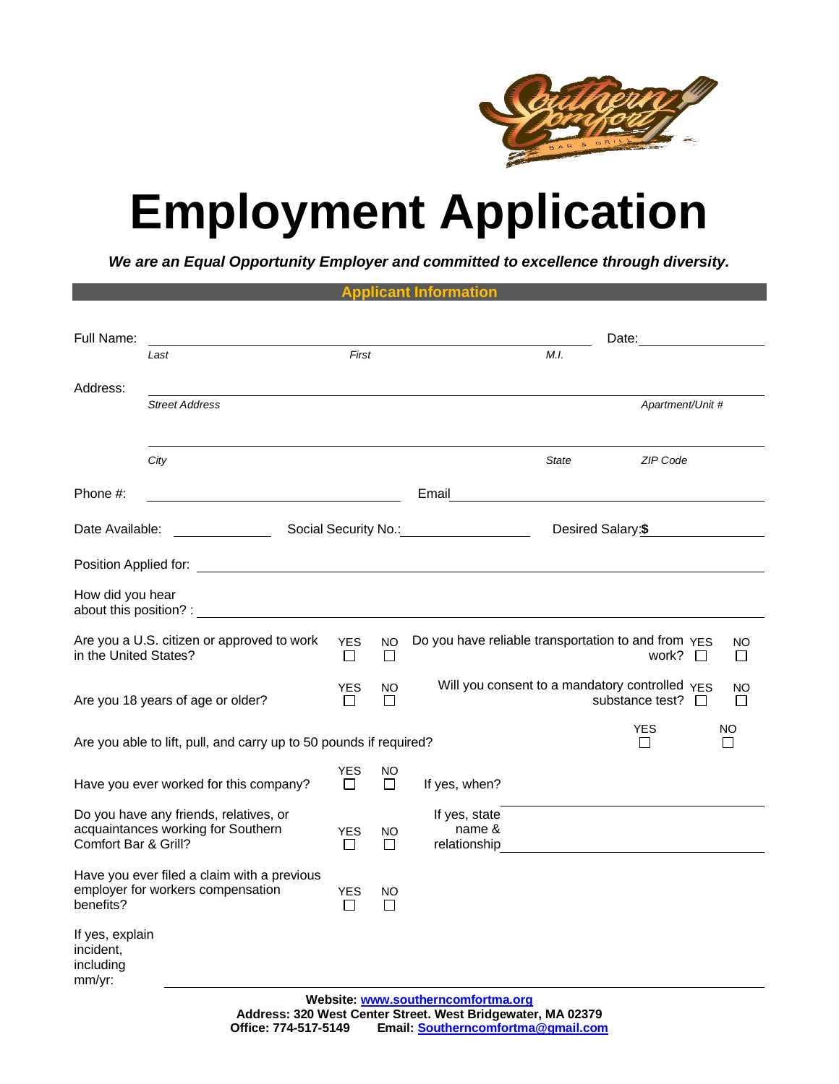

## **Employment Application**

*We are an Equal Opportunity Employer and committed to excellence through diversity.*

|                                                                    |                                                                                  |                       |                     | <b>pplicant Information</b>                         |                                                                                                                                                                                                                                        |                                                                       |  |               |
|--------------------------------------------------------------------|----------------------------------------------------------------------------------|-----------------------|---------------------|-----------------------------------------------------|----------------------------------------------------------------------------------------------------------------------------------------------------------------------------------------------------------------------------------------|-----------------------------------------------------------------------|--|---------------|
|                                                                    |                                                                                  |                       |                     |                                                     |                                                                                                                                                                                                                                        |                                                                       |  |               |
| Full Name:                                                         | Last                                                                             | First                 |                     |                                                     | Date: the contract of the contract of the contract of the contract of the contract of the contract of the contract of the contract of the contract of the contract of the contract of the contract of the contract of the cont<br>M.I. |                                                                       |  |               |
|                                                                    |                                                                                  |                       |                     |                                                     |                                                                                                                                                                                                                                        |                                                                       |  |               |
| Address:                                                           | <b>Street Address</b>                                                            |                       |                     |                                                     |                                                                                                                                                                                                                                        | Apartment/Unit #                                                      |  |               |
|                                                                    | City                                                                             |                       |                     |                                                     | <b>State</b>                                                                                                                                                                                                                           | ZIP Code                                                              |  |               |
| Phone #:                                                           |                                                                                  |                       |                     | Email                                               |                                                                                                                                                                                                                                        |                                                                       |  |               |
| Date Available:                                                    |                                                                                  |                       |                     |                                                     |                                                                                                                                                                                                                                        | Desired Salary: \$                                                    |  |               |
|                                                                    |                                                                                  |                       |                     |                                                     |                                                                                                                                                                                                                                        |                                                                       |  |               |
| How did you hear                                                   |                                                                                  |                       |                     |                                                     |                                                                                                                                                                                                                                        |                                                                       |  |               |
| in the United States?                                              | Are you a U.S. citizen or approved to work                                       | <b>YES</b><br>$\perp$ | NO.<br>$\mathbf{L}$ | Do you have reliable transportation to and from YES |                                                                                                                                                                                                                                        | work? $\square$                                                       |  | NO<br>$\perp$ |
|                                                                    | Are you 18 years of age or older?                                                | YES<br>$\perp$        | NO                  |                                                     |                                                                                                                                                                                                                                        | Will you consent to a mandatory controlled $YES$<br>substance test? □ |  | NO<br>$\Box$  |
| Are you able to lift, pull, and carry up to 50 pounds if required? |                                                                                  |                       |                     |                                                     |                                                                                                                                                                                                                                        | <b>YES</b><br>l 1                                                     |  | NO<br>l 1     |
|                                                                    | Have you ever worked for this company?                                           | <b>YES</b><br>$\Box$  | <b>NO</b><br>П      | If yes, when?                                       |                                                                                                                                                                                                                                        |                                                                       |  |               |
| Comfort Bar & Grill?                                               | Do you have any friends, relatives, or<br>acquaintances working for Southern     | <b>YES</b><br>$\perp$ | NO.<br>$\mathsf{L}$ | If yes, state<br>name &<br>relationship             |                                                                                                                                                                                                                                        | <u> 1980 - Johann Barbara, martxa alemaniar a</u>                     |  |               |
| benefits?                                                          | Have you ever filed a claim with a previous<br>employer for workers compensation | <b>YES</b>            | NO.                 |                                                     |                                                                                                                                                                                                                                        |                                                                       |  |               |
| If yes, explain<br>incident,<br>including<br>mm/yr:                |                                                                                  |                       |                     |                                                     |                                                                                                                                                                                                                                        |                                                                       |  |               |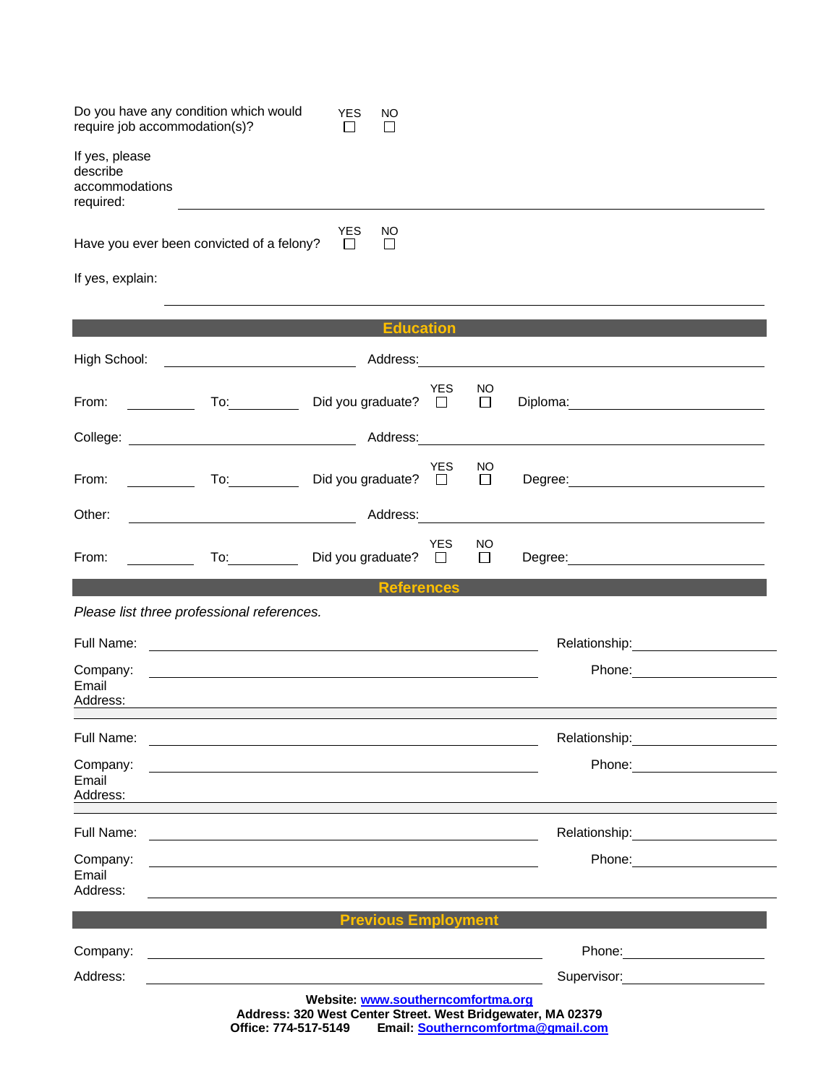| Do you have any condition which would<br>require job accommodation(s)? | <b>YES</b>      | NO<br>$\Box$   |
|------------------------------------------------------------------------|-----------------|----------------|
| If yes, please<br>describe<br>accommodations<br>required:              |                 |                |
| Have you ever been convicted of a felony?                              | <b>YES</b><br>□ | <b>NO</b><br>П |

If yes, explain:

|                               | <b>Education</b>                                                                                                                                                                                                                                                                                                                 |  |  |  |  |  |
|-------------------------------|----------------------------------------------------------------------------------------------------------------------------------------------------------------------------------------------------------------------------------------------------------------------------------------------------------------------------------|--|--|--|--|--|
| High School:                  |                                                                                                                                                                                                                                                                                                                                  |  |  |  |  |  |
| From:                         | <b>YES</b><br>NO<br>$\overline{a}$ To: $\overline{a}$<br>Did you graduate?<br>$\Box$<br>Diploma: the contract of the contract of the contract of the contract of the contract of the contract of the contract of the contract of the contract of the contract of the contract of the contract of the contract of the c<br>$\Box$ |  |  |  |  |  |
|                               |                                                                                                                                                                                                                                                                                                                                  |  |  |  |  |  |
| From:                         | <b>YES</b><br>NO.<br>Did you graduate?<br>$\mathsf{To:}\_\_\_\_\_\_\_\_\_\$<br>$\Box$<br>$\sim$ $\sim$ $\sim$<br>$\Box$                                                                                                                                                                                                          |  |  |  |  |  |
| Other:                        | <u>and the set of the set of the set of the set of the set of the set of the set of the set of the set of the set o</u>                                                                                                                                                                                                          |  |  |  |  |  |
| From:                         | <b>YES</b><br>NO.<br>$\mathsf{To:}\_\_\_\_\_\_\_\_\_\$<br>Did you graduate?<br>$\Box$<br>$\Box$                                                                                                                                                                                                                                  |  |  |  |  |  |
|                               | <b>References</b>                                                                                                                                                                                                                                                                                                                |  |  |  |  |  |
|                               | Please list three professional references.                                                                                                                                                                                                                                                                                       |  |  |  |  |  |
| Full Name:                    | Relationship:<br><u>________________________________</u><br><u> 1988 - Andrea Brand, Amerikaansk politiker († 1908)</u>                                                                                                                                                                                                          |  |  |  |  |  |
| Company:<br>Email<br>Address: | <u> 1989 - Johann Stoff, amerikansk politiker (d. 1989)</u>                                                                                                                                                                                                                                                                      |  |  |  |  |  |
|                               |                                                                                                                                                                                                                                                                                                                                  |  |  |  |  |  |
| Full Name:                    | Relationship: 2000<br><u> 1989 - Johann Stein, marwolaethau a bhann an t-Amhain ann an t-Amhain an t-Amhain an t-Amhain an t-Amhain an </u>                                                                                                                                                                                      |  |  |  |  |  |
| Company:<br>Email<br>Address: | and the control of the control of the control of the control of the control of the control of the control of the                                                                                                                                                                                                                 |  |  |  |  |  |
|                               |                                                                                                                                                                                                                                                                                                                                  |  |  |  |  |  |
| Full Name:                    | <u> 1989 - Johann Barn, amerikansk politiker (d. 1989)</u>                                                                                                                                                                                                                                                                       |  |  |  |  |  |
| Company:<br>Email<br>Address: | Phone: <u>_______________________</u>                                                                                                                                                                                                                                                                                            |  |  |  |  |  |
|                               | <b>Previous Employment</b>                                                                                                                                                                                                                                                                                                       |  |  |  |  |  |
| Company:                      |                                                                                                                                                                                                                                                                                                                                  |  |  |  |  |  |
| Address:                      | Supervisor: Supervisor:                                                                                                                                                                                                                                                                                                          |  |  |  |  |  |
|                               | Website: www.southerncomfortma.org<br>Address: 320 West Center Street. West Bridgewater, MA 02379<br>Email: Southerncomfortma@gmail.com<br>Office: 774-517-5149                                                                                                                                                                  |  |  |  |  |  |